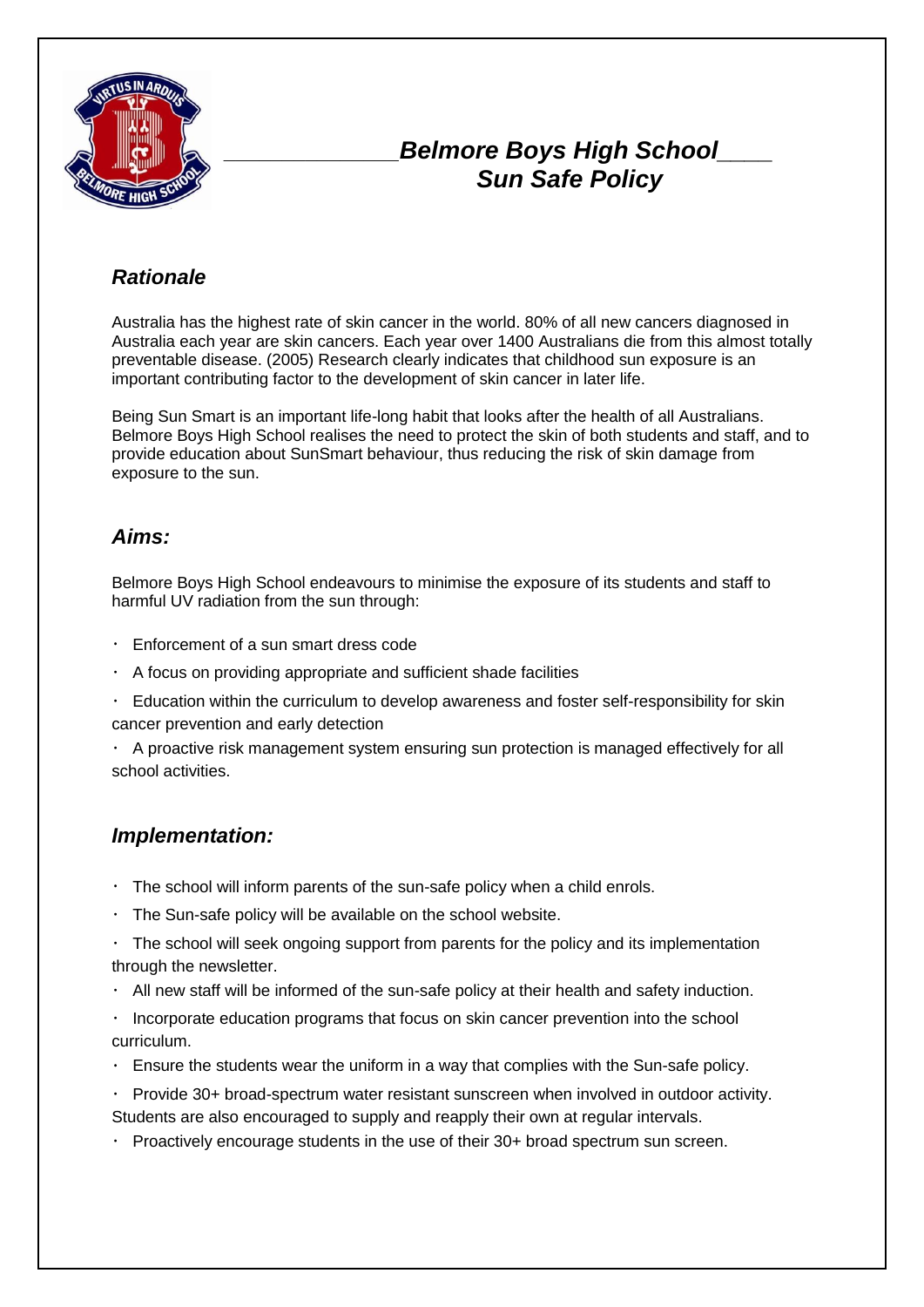

# *\_\_\_\_\_\_\_\_\_\_\_\_\_\_\_Belmore Boys High School\_\_\_\_ Sun Safe Policy*

### *Rationale*

Australia has the highest rate of skin cancer in the world. 80% of all new cancers diagnosed in Australia each year are skin cancers. Each year over 1400 Australians die from this almost totally preventable disease. (2005) Research clearly indicates that childhood sun exposure is an important contributing factor to the development of skin cancer in later life.

Being Sun Smart is an important life-long habit that looks after the health of all Australians. Belmore Boys High School realises the need to protect the skin of both students and staff, and to provide education about SunSmart behaviour, thus reducing the risk of skin damage from exposure to the sun.

### *Aims:*

Belmore Boys High School endeavours to minimise the exposure of its students and staff to harmful UV radiation from the sun through:

- Enforcement of a sun smart dress code
- $\cdot$  A focus on providing appropriate and sufficient shade facilities
- Education within the curriculum to develop awareness and foster self-responsibility for skin cancer prevention and early detection

A proactive risk management system ensuring sun protection is managed effectively for all school activities.

#### *Implementation:*

- The school will inform parents of the sun-safe policy when a child enrols.
- The Sun-safe policy will be available on the school website.
- The school will seek ongoing support from parents for the policy and its implementation through the newsletter.
- $\cdot$  All new staff will be informed of the sun-safe policy at their health and safety induction.

Incorporate education programs that focus on skin cancer prevention into the school curriculum.

- $\cdot$  Ensure the students wear the uniform in a way that complies with the Sun-safe policy.
- Provide 30+ broad-spectrum water resistant sunscreen when involved in outdoor activity. Students are also encouraged to supply and reapply their own at regular intervals.
- $\cdot$  Proactively encourage students in the use of their 30+ broad spectrum sun screen.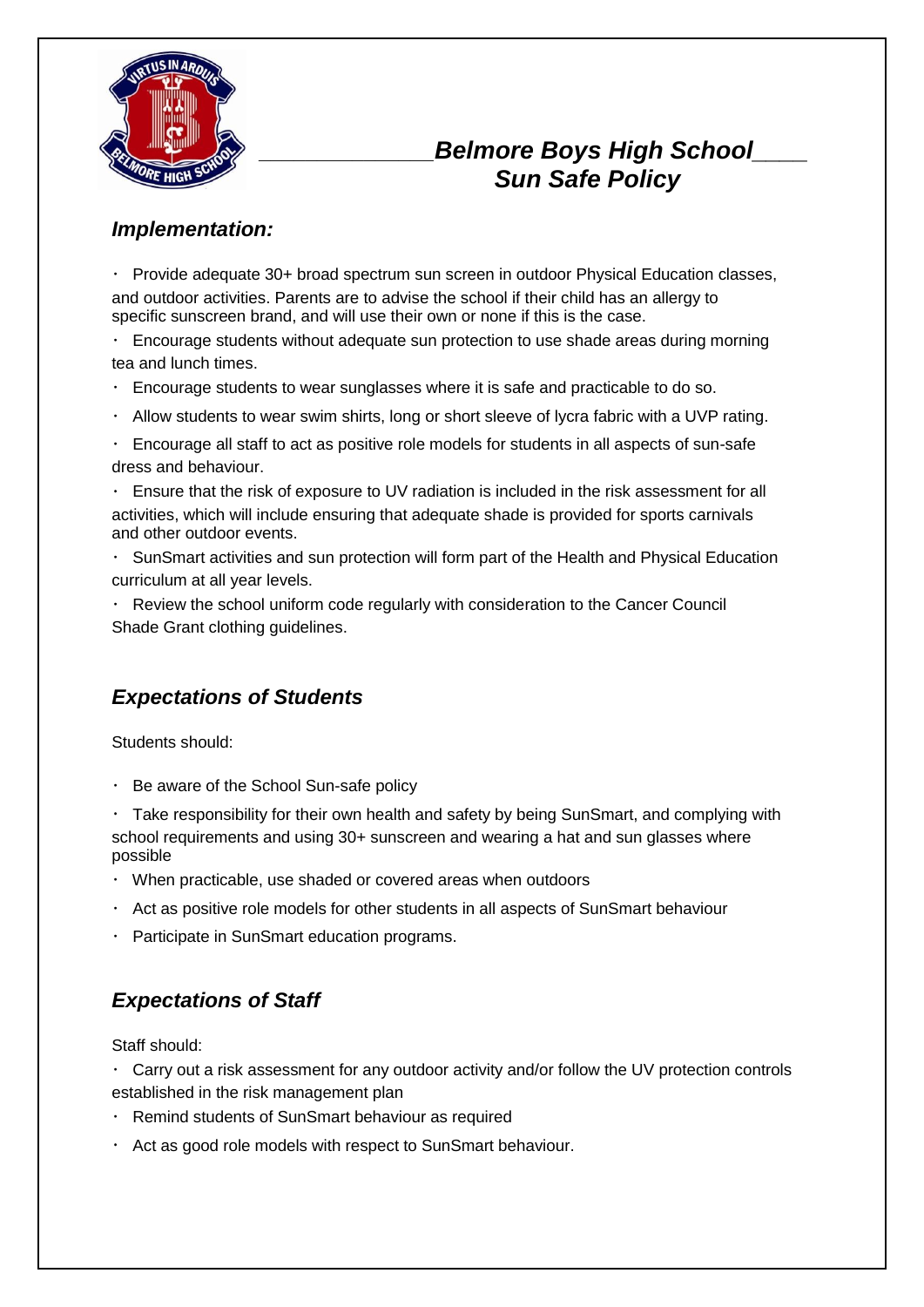

# *\_\_\_\_\_\_\_\_\_\_\_\_\_\_\_Belmore Boys High School\_\_\_\_ Sun Safe Policy*

#### *Implementation:*

Provide adequate 30+ broad spectrum sun screen in outdoor Physical Education classes, and outdoor activities. Parents are to advise the school if their child has an allergy to specific sunscreen brand, and will use their own or none if this is the case.

Encourage students without adequate sun protection to use shade areas during morning tea and lunch times.

- Encourage students to wear sunglasses where it is safe and practicable to do so.
- $\cdot$  Allow students to wear swim shirts, long or short sleeve of lycra fabric with a UVP rating.
- Encourage all staff to act as positive role models for students in all aspects of sun-safe dress and behaviour.
- Ensure that the risk of exposure to UV radiation is included in the risk assessment for all activities, which will include ensuring that adequate shade is provided for sports carnivals and other outdoor events.
- SunSmart activities and sun protection will form part of the Health and Physical Education curriculum at all year levels.

Review the school uniform code regularly with consideration to the Cancer Council Shade Grant clothing guidelines.

### *Expectations of Students*

Students should:

 $\cdot$  Be aware of the School Sun-safe policy

Take responsibility for their own health and safety by being SunSmart, and complying with school requirements and using 30+ sunscreen and wearing a hat and sun glasses where possible

- When practicable, use shaded or covered areas when outdoors
- $\cdot$  Act as positive role models for other students in all aspects of SunSmart behaviour
- Participate in SunSmart education programs.

### *Expectations of Staff*

Staff should:

Carry out a risk assessment for any outdoor activity and/or follow the UV protection controls established in the risk management plan

- Remind students of SunSmart behaviour as required
- Act as good role models with respect to SunSmart behaviour.